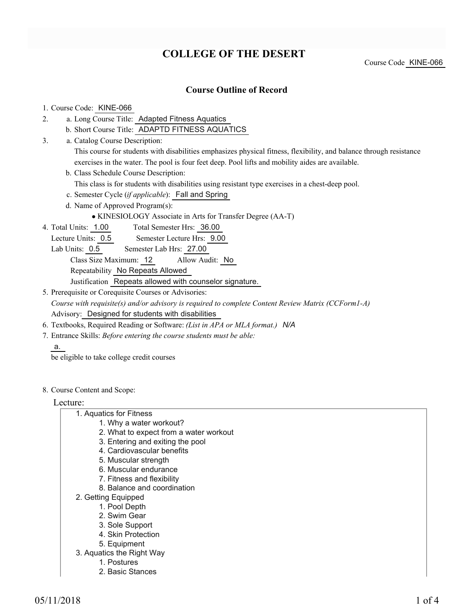# **COLLEGE OF THE DESERT**

Course Code KINE-066

#### **Course Outline of Record**

#### 1. Course Code: KINE-066

3.

- a. Long Course Title: Adapted Fitness Aquatics 2.
	- b. Short Course Title: ADAPTD FITNESS AQUATICS
	- Catalog Course Description: a. This course for students with disabilities emphasizes physical fitness, flexibility, and balance through resistance exercises in the water. The pool is four feet deep. Pool lifts and mobility aides are available.
	- b. Class Schedule Course Description:
		- This class is for students with disabilities using resistant type exercises in a chest-deep pool.
	- c. Semester Cycle (*if applicable*): Fall and Spring
	- d. Name of Approved Program(s):
		- KINESIOLOGY Associate in Arts for Transfer Degree (AA-T)
- Total Semester Hrs: 36.00 4. Total Units: 1.00
- Lecture Units: 0.5 Semester Lecture Hrs: 9.00
- Lab Units: 0.5 Semester Lab Hrs: 27.00
	- Class Size Maximum: 12 Allow Audit: No
	- Repeatability No Repeats Allowed

Justification Repeats allowed with counselor signature.

5. Prerequisite or Corequisite Courses or Advisories:

*Course with requisite(s) and/or advisory is required to complete Content Review Matrix (CCForm1-A)* Advisory: Designed for students with disabilities

- 6. Textbooks, Required Reading or Software: *(List in APA or MLA format.) N/A*
- Entrance Skills: *Before entering the course students must be able:* 7.
	- a.

be eligible to take college credit courses

8. Course Content and Scope:

#### Lecture:

- 1. Aquatics for Fitness
	- 1. Why a water workout?
		- 2. What to expect from a water workout
		- 3. Entering and exiting the pool
		- 4. Cardiovascular benefits
		- 5. Muscular strength
		- 6. Muscular endurance
		- 7. Fitness and flexibility
		- 8. Balance and coordination
- 2. Getting Equipped
	- 1. Pool Depth
		- 2. Swim Gear
		- 3. Sole Support
		- 4. Skin Protection
		- 5. Equipment
- 3. Aquatics the Right Way
	- 1. Postures
	- 2. Basic Stances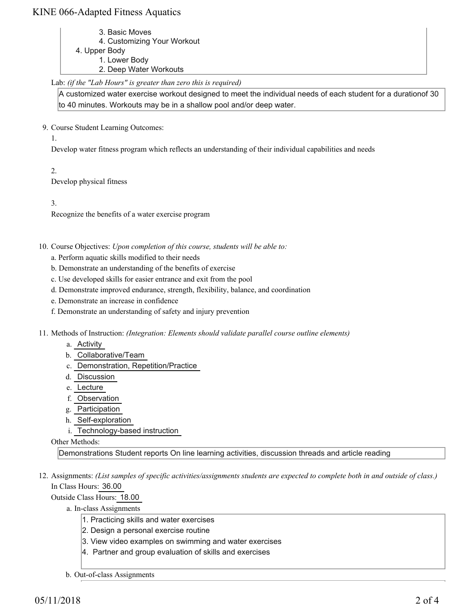# KINE 066-Adapted Fitness Aquatics

- 3. Basic Moves
- 4. Customizing Your Workout
- 4. Upper Body
	- 1. Lower Body
	- 2. Deep Water Workouts

### Lab: *(if the "Lab Hours" is greater than zero this is required)*

A customized water exercise workout designed to meet the individual needs of each student for a durationof 30 to 40 minutes. Workouts may be in a shallow pool and/or deep water.

9. Course Student Learning Outcomes:

1.

Develop water fitness program which reflects an understanding of their individual capabilities and needs

2.

Develop physical fitness

3.

Recognize the benefits of a water exercise program

10. Course Objectives: Upon completion of this course, students will be able to:

- a. Perform aquatic skills modified to their needs
- b. Demonstrate an understanding of the benefits of exercise
- c. Use developed skills for easier entrance and exit from the pool
- d. Demonstrate improved endurance, strength, flexibility, balance, and coordination
- e. Demonstrate an increase in confidence
- f. Demonstrate an understanding of safety and injury prevention
- Methods of Instruction: *(Integration: Elements should validate parallel course outline elements)* 11.
	- a. Activity
	- b. Collaborative/Team
	- c. Demonstration, Repetition/Practice
	- d. Discussion
	- e. Lecture
	- f. Observation
	- g. Participation
	- h. Self-exploration
	- i. Technology-based instruction

```
Other Methods:
```
Demonstrations Student reports On line learning activities, discussion threads and article reading

12. Assignments: (List samples of specific activities/assignments students are expected to complete both in and outside of class.) In Class Hours: 36.00

Outside Class Hours: 18.00

- a. In-class Assignments
	- 1. Practicing skills and water exercises
	- 2. Design a personal exercise routine
	- 3. View video examples on swimming and water exercises
	- 4. Partner and group evaluation of skills and exercises
- b. Out-of-class Assignments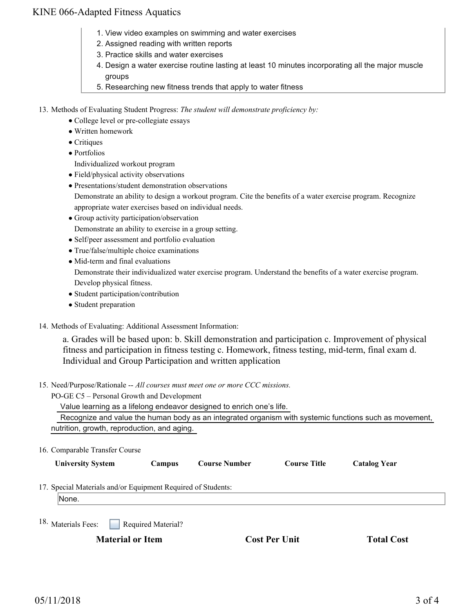# KINE 066-Adapted Fitness Aquatics

- 1. View video examples on swimming and water exercises
- 2. Assigned reading with written reports
- 3. Practice skills and water exercises
- 4. Design a water exercise routine lasting at least 10 minutes incorporating all the major muscle groups
- 5. Researching new fitness trends that apply to water fitness

13. Methods of Evaluating Student Progress: The student will demonstrate proficiency by:

- College level or pre-collegiate essays
- Written homework
- Critiques
- Portfolios
- Individualized workout program
- Field/physical activity observations
- Presentations/student demonstration observations

Demonstrate an ability to design a workout program. Cite the benefits of a water exercise program. Recognize appropriate water exercises based on individual needs.

- Group activity participation/observation Demonstrate an ability to exercise in a group setting.
- Self/peer assessment and portfolio evaluation
- True/false/multiple choice examinations
- Mid-term and final evaluations Demonstrate their individualized water exercise program. Understand the benefits of a water exercise program. Develop physical fitness.
- Student participation/contribution
- Student preparation
- 14. Methods of Evaluating: Additional Assessment Information:

a. Grades will be based upon: b. Skill demonstration and participation c. Improvement of physical fitness and participation in fitness testing c. Homework, fitness testing, mid-term, final exam d. Individual and Group Participation and written application

- 15. Need/Purpose/Rationale -- All courses must meet one or more CCC missions.
	- PO-GE C5 Personal Growth and Development

Value learning as a lifelong endeavor designed to enrich one's life.

 Recognize and value the human body as an integrated organism with systemic functions such as movement, nutrition, growth, reproduction, and aging.

16. Comparable Transfer Course

| <b>University System</b>                                     | Campus             | <b>Course Number</b> | <b>Course Title</b>  | <b>Catalog Year</b> |  |
|--------------------------------------------------------------|--------------------|----------------------|----------------------|---------------------|--|
| 17. Special Materials and/or Equipment Required of Students: |                    |                      |                      |                     |  |
| None.                                                        |                    |                      |                      |                     |  |
| 18. Materials Fees:<br><b>Material or Item</b>               | Required Material? |                      | <b>Cost Per Unit</b> | <b>Total Cost</b>   |  |